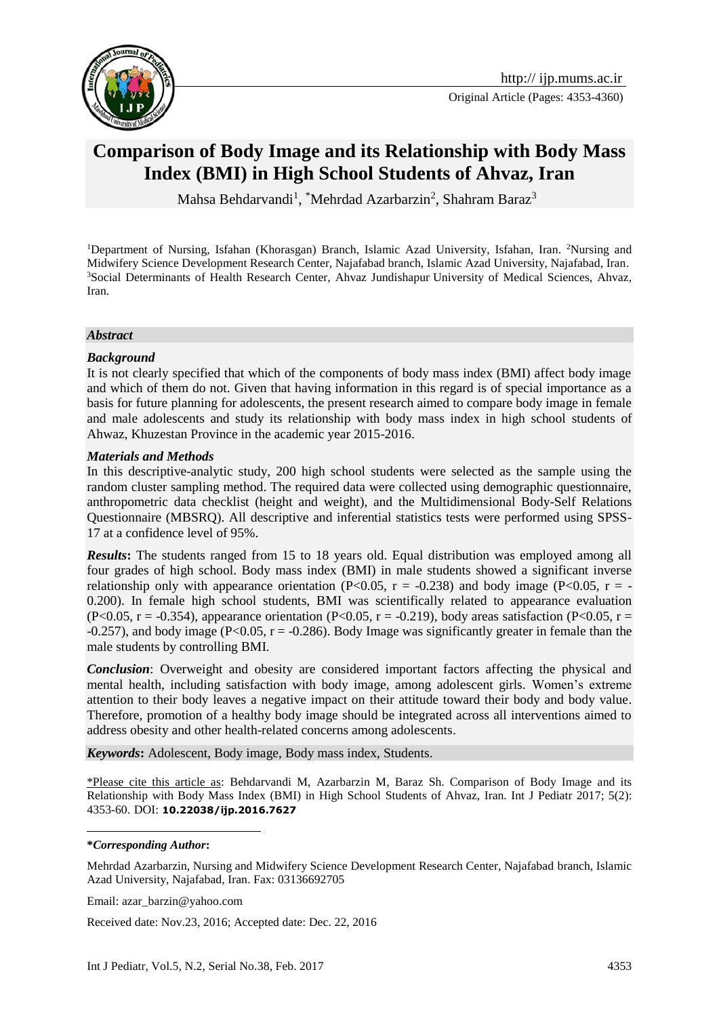

# **Comparison of Body Image and its Relationship with Body Mass Index (BMI) in High School Students of Ahvaz, Iran**

Mahsa Behdarvandi<sup>1</sup>, \*Mehrdad Azarbarzin<sup>2</sup>, Shahram Baraz<sup>3</sup>

<sup>1</sup>Department of Nursing, Isfahan (Khorasgan) Branch, Islamic Azad University, Isfahan, Iran. <sup>2</sup>Nursing and Midwifery Science Development Research Center, Najafabad branch, Islamic Azad University, Najafabad, Iran. <sup>3</sup>Social Determinants of Health Research Center, Ahvaz Jundishapur University of Medical Sciences, Ahvaz, Iran.

#### *Abstract*

#### *Background*

It is not clearly specified that which of the components of body mass index (BMI) affect body image and which of them do not. Given that having information in this regard is of special importance as a basis for future planning for adolescents, the present research aimed to compare body image in female and male adolescents and study its relationship with body mass index in high school students of Ahwaz, Khuzestan Province in the academic year 2015-2016.

#### *Materials and Methods*

In this descriptive-analytic study, 200 high school students were selected as the sample using the random cluster sampling method. The required data were collected using demographic questionnaire, anthropometric data checklist (height and weight), and the Multidimensional Body-Self Relations Questionnaire (MBSRQ). All descriptive and inferential statistics tests were performed using SPSS-17 at a confidence level of 95%.

*Results***:** The students ranged from 15 to 18 years old. Equal distribution was employed among all four grades of high school. Body mass index (BMI) in male students showed a significant inverse relationship only with appearance orientation (P<0.05, r = -0.238) and body image (P<0.05, r = -0.200). In female high school students, BMI was scientifically related to appearance evaluation (P<0.05, r = -0.354), appearance orientation (P<0.05, r = -0.219), body areas satisfaction (P<0.05, r =  $-0.257$ ), and body image (P<0.05, r =  $-0.286$ ). Body Image was significantly greater in female than the male students by controlling BMI.

*Conclusion*: Overweight and obesity are considered important factors affecting the physical and mental health, including satisfaction with body image, among adolescent girls. Women's extreme attention to their body leaves a negative impact on their attitude toward their body and body value. Therefore, promotion of a healthy body image should be integrated across all interventions aimed to address obesity and other health-related concerns among adolescents.

*Keywords***:** Adolescent, Body image, Body mass index, Students.

\*Please cite this article as: Behdarvandi M, Azarbarzin M, Baraz Sh. Comparison of Body Image and its Relationship with Body Mass Index (BMI) in High School Students of Ahvaz, Iran. Int J Pediatr 2017; 5(2): 4353-60. DOI: **10.22038/ijp.2016.7627**

**\****Corresponding Author***:** 

<u>.</u>

Mehrdad Azarbarzin, Nursing and Midwifery Science Development Research Center, Najafabad branch, Islamic Azad University, Najafabad, Iran. Fax: 03136692705

Email: azar\_barzin@yahoo.com

Received date: Nov.23, 2016; Accepted date: Dec. 22, 2016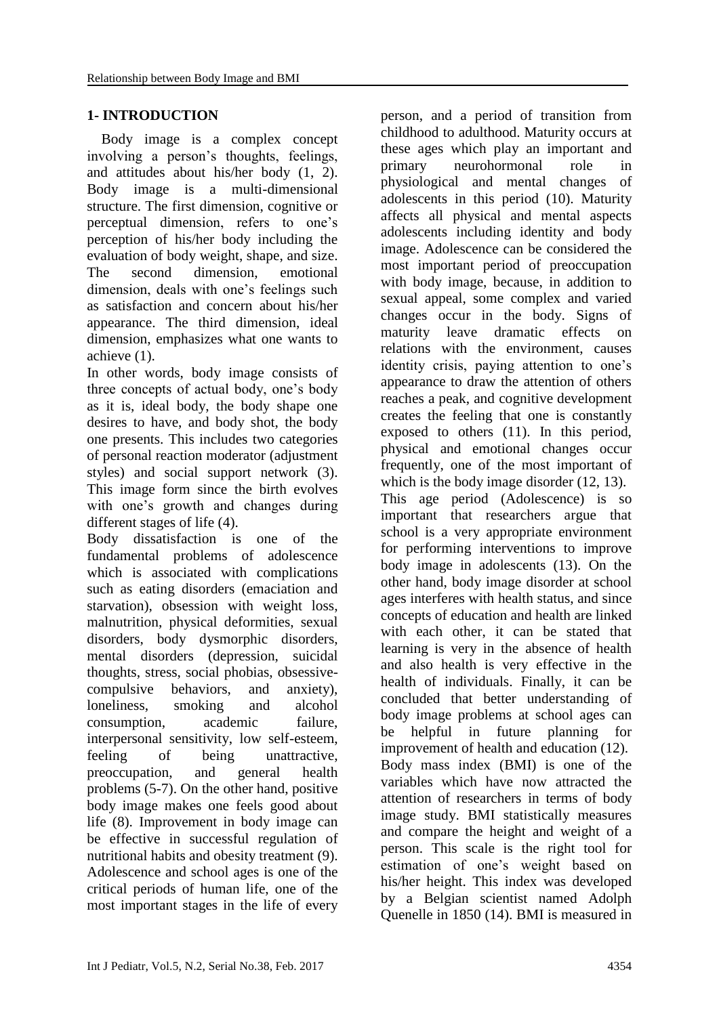## **1- INTRODUCTION**

 Body image is a complex concept involving a person's thoughts, feelings, and attitudes about his/her body (1, 2). Body image is a multi-dimensional structure. The first dimension, cognitive or perceptual dimension, refers to one's perception of his/her body including the evaluation of body weight, shape, and size. The second dimension, emotional dimension, deals with one's feelings such as satisfaction and concern about his/her appearance. The third dimension, ideal dimension, emphasizes what one wants to achieve (1).

In other words, body image consists of three concepts of actual body, one's body as it is, ideal body, the body shape one desires to have, and body shot, the body one presents. This includes two categories of personal reaction moderator (adjustment styles) and social support network (3). This image form since the birth evolves with one's growth and changes during different stages of life (4).

Body dissatisfaction is one of the fundamental problems of adolescence which is associated with complications such as eating disorders (emaciation and starvation), obsession with weight loss, malnutrition, physical deformities, sexual disorders, body dysmorphic disorders, mental disorders (depression, suicidal thoughts, stress, social phobias, obsessivecompulsive behaviors, and anxiety), loneliness, smoking and alcohol consumption, academic failure, interpersonal sensitivity, low self-esteem, feeling of being unattractive, preoccupation, and general health problems (5-7). On the other hand, positive body image makes one feels good about life (8). Improvement in body image can be effective in successful regulation of nutritional habits and obesity treatment (9). Adolescence and school ages is one of the critical periods of human life, one of the most important stages in the life of every

person, and a period of transition from childhood to adulthood. Maturity occurs at these ages which play an important and primary neurohormonal role in physiological and mental changes of adolescents in this period (10). Maturity affects all physical and mental aspects adolescents including identity and body image. Adolescence can be considered the most important period of preoccupation with body image, because, in addition to sexual appeal, some complex and varied changes occur in the body. Signs of maturity leave dramatic effects on relations with the environment, causes identity crisis, paying attention to one's appearance to draw the attention of others reaches a peak, and cognitive development creates the feeling that one is constantly exposed to others (11). In this period, physical and emotional changes occur frequently, one of the most important of which is the body image disorder  $(12, 13)$ . This age period (Adolescence) is so important that researchers argue that school is a very appropriate environment for performing interventions to improve body image in adolescents (13). On the other hand, body image disorder at school ages interferes with health status, and since concepts of education and health are linked with each other, it can be stated that learning is very in the absence of health and also health is very effective in the health of individuals. Finally, it can be concluded that better understanding of body image problems at school ages can be helpful in future planning for improvement of health and education (12). Body mass index (BMI) is one of the variables which have now attracted the attention of researchers in terms of body image study. BMI statistically measures and compare the height and weight of a person. This scale is the right tool for estimation of one's weight based on his/her height. This index was developed by a Belgian scientist named Adolph Quenelle in 1850 (14). BMI is measured in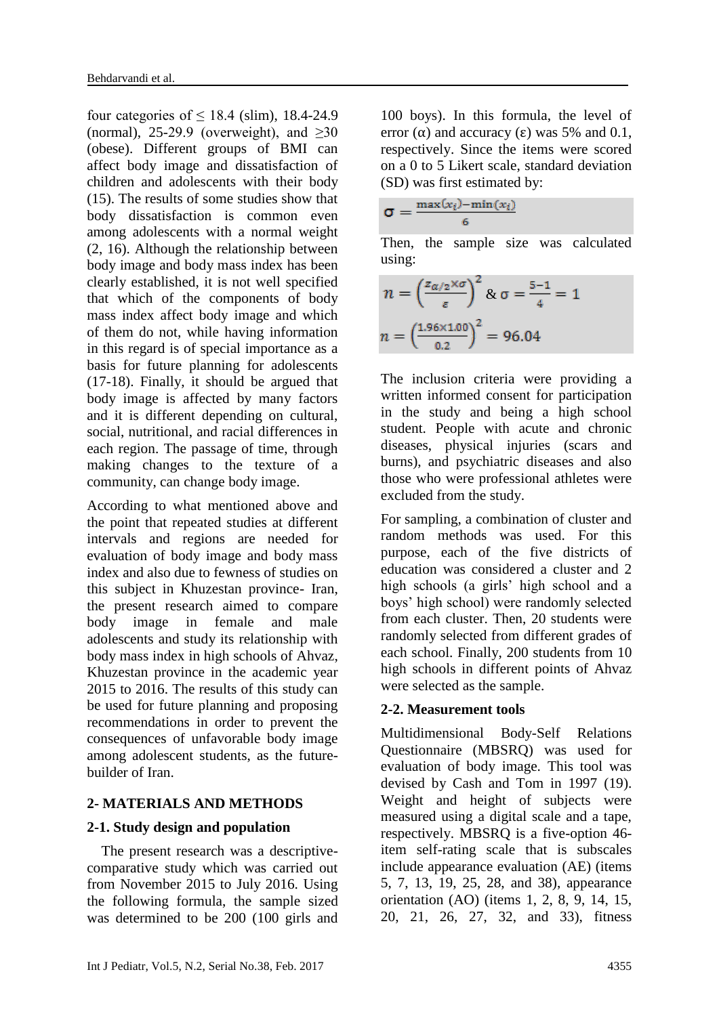four categories of  $\leq$  18.4 (slim), 18.4-24.9 (normal), 25-29.9 (overweight), and  $\geq 30$ (obese). Different groups of BMI can affect body image and dissatisfaction of children and adolescents with their body (15). The results of some studies show that body dissatisfaction is common even among adolescents with a normal weight (2, 16). Although the relationship between body image and body mass index has been clearly established, it is not well specified that which of the components of body mass index affect body image and which of them do not, while having information in this regard is of special importance as a basis for future planning for adolescents (17-18). Finally, it should be argued that body image is affected by many factors and it is different depending on cultural, social, nutritional, and racial differences in each region. The passage of time, through making changes to the texture of a community, can change body image.

According to what mentioned above and the point that repeated studies at different intervals and regions are needed for evaluation of body image and body mass index and also due to fewness of studies on this subject in Khuzestan province- Iran, the present research aimed to compare body image in female and male adolescents and study its relationship with body mass index in high schools of Ahvaz, Khuzestan province in the academic year 2015 to 2016. The results of this study can be used for future planning and proposing recommendations in order to prevent the consequences of unfavorable body image among adolescent students, as the futurebuilder of Iran.

### **2- MATERIALS AND METHODS**

### **2-1. Study design and population**

 The present research was a descriptivecomparative study which was carried out from November 2015 to July 2016. Using the following formula, the sample sized was determined to be 200 (100 girls and 100 boys). In this formula, the level of error  $(\alpha)$  and accuracy  $(\epsilon)$  was 5% and 0.1, respectively. Since the items were scored on a 0 to 5 Likert scale, standard deviation (SD) was first estimated by:

$$
\sigma = \frac{\max(x_i) - \min(x_i)}{6}
$$

Then, the sample size was calculated using:

$$
n = \left(\frac{z_{\alpha/2} \times \sigma}{\varepsilon}\right)^2 \& \sigma = \frac{5 - 1}{4} = 1
$$

$$
n = \left(\frac{1.96 \times 1.00}{0.2}\right)^2 = 96.04
$$

The inclusion criteria were providing a written informed consent for participation in the study and being a high school student. People with acute and chronic diseases, physical injuries (scars and burns), and psychiatric diseases and also those who were professional athletes were excluded from the study.

For sampling, a combination of cluster and random methods was used. For this purpose, each of the five districts of education was considered a cluster and 2 high schools (a girls' high school and a boys' high school) were randomly selected from each cluster. Then, 20 students were randomly selected from different grades of each school. Finally, 200 students from 10 high schools in different points of Ahvaz were selected as the sample.

### **2-2. Measurement tools**

Multidimensional Body-Self Relations Questionnaire (MBSRQ) was used for evaluation of body image. This tool was devised by Cash and Tom in 1997 (19). Weight and height of subjects were measured using a digital scale and a tape, respectively. MBSRQ is a five-option 46 item self-rating scale that is subscales include appearance evaluation (AE) (items 5, 7, 13, 19, 25, 28, and 38), appearance orientation (AO) (items 1, 2, 8, 9, 14, 15, 20, 21, 26, 27, 32, and 33), fitness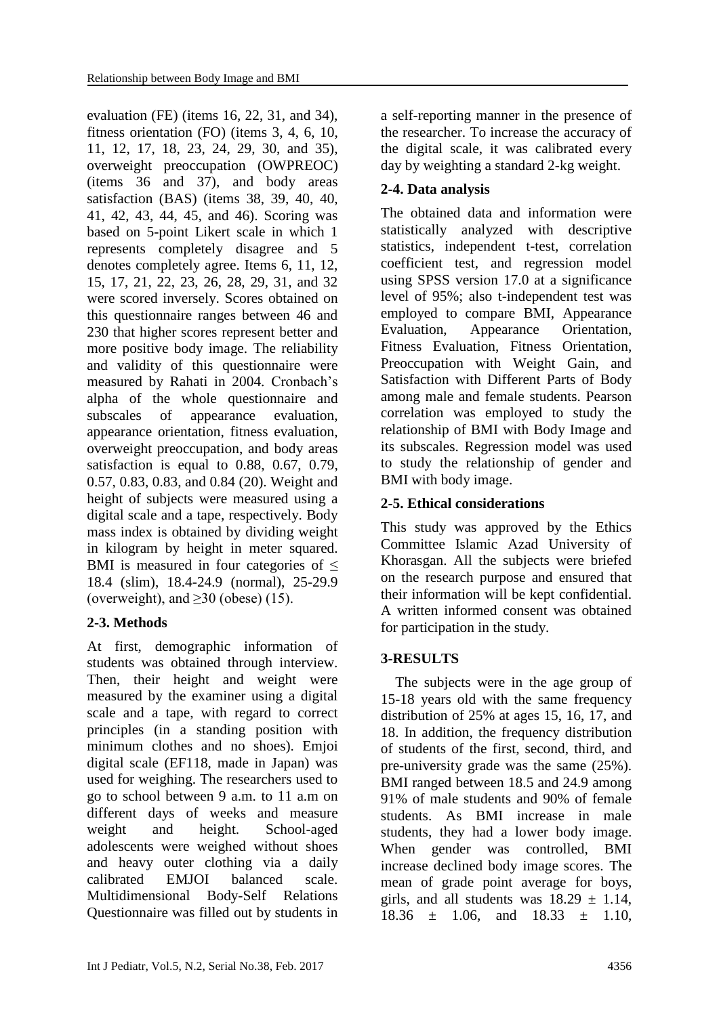evaluation (FE) (items 16, 22, 31, and 34), fitness orientation (FO) (items 3, 4, 6, 10, 11, 12, 17, 18, 23, 24, 29, 30, and 35), overweight preoccupation (OWPREOC) (items 36 and 37), and body areas satisfaction (BAS) (items 38, 39, 40, 40, 41, 42, 43, 44, 45, and 46). Scoring was based on 5-point Likert scale in which 1 represents completely disagree and 5 denotes completely agree. Items 6, 11, 12, 15, 17, 21, 22, 23, 26, 28, 29, 31, and 32 were scored inversely. Scores obtained on this questionnaire ranges between 46 and 230 that higher scores represent better and more positive body image. The reliability and validity of this questionnaire were measured by Rahati in 2004. Cronbach's alpha of the whole questionnaire and subscales of appearance evaluation, appearance orientation, fitness evaluation, overweight preoccupation, and body areas satisfaction is equal to 0.88, 0.67, 0.79, 0.57, 0.83, 0.83, and 0.84 (20). Weight and height of subjects were measured using a digital scale and a tape, respectively. Body mass index is obtained by dividing weight in kilogram by height in meter squared. BMI is measured in four categories of  $\leq$ 18.4 (slim), 18.4-24.9 (normal), 25-29.9 (overweight), and  $\geq$ 30 (obese) (15).

## **2-3. Methods**

At first, demographic information of students was obtained through interview. Then, their height and weight were measured by the examiner using a digital scale and a tape, with regard to correct principles (in a standing position with minimum clothes and no shoes). Emjoi digital scale (EF118, made in Japan) was used for weighing. The researchers used to go to school between 9 a.m. to 11 a.m on different days of weeks and measure weight and height. School-aged adolescents were weighed without shoes and heavy outer clothing via a daily calibrated EMJOI balanced scale. Multidimensional Body-Self Relations Questionnaire was filled out by students in a self-reporting manner in the presence of the researcher. To increase the accuracy of the digital scale, it was calibrated every day by weighting a standard 2-kg weight.

## **2-4. Data analysis**

The obtained data and information were statistically analyzed with descriptive statistics, independent t-test, correlation coefficient test, and regression model using SPSS version 17.0 at a significance level of 95%; also t-independent test was employed to compare BMI, Appearance Evaluation, Appearance Orientation, Fitness Evaluation, Fitness Orientation, Preoccupation with Weight Gain, and Satisfaction with Different Parts of Body among male and female students. Pearson correlation was employed to study the relationship of BMI with Body Image and its subscales. Regression model was used to study the relationship of gender and BMI with body image.

## **2-5. Ethical considerations**

This study was approved by the Ethics Committee Islamic Azad University of Khorasgan. All the subjects were briefed on the research purpose and ensured that their information will be kept confidential. A written informed consent was obtained for participation in the study.

## **3-RESULTS**

 The subjects were in the age group of 15-18 years old with the same frequency distribution of 25% at ages 15, 16, 17, and 18. In addition, the frequency distribution of students of the first, second, third, and pre-university grade was the same (25%). BMI ranged between 18.5 and 24.9 among 91% of male students and 90% of female students. As BMI increase in male students, they had a lower body image. When gender was controlled, BMI increase declined body image scores. The mean of grade point average for boys, girls, and all students was  $18.29 \pm 1.14$ , 18.36  $\pm$  1.06, and 18.33  $\pm$  1.10,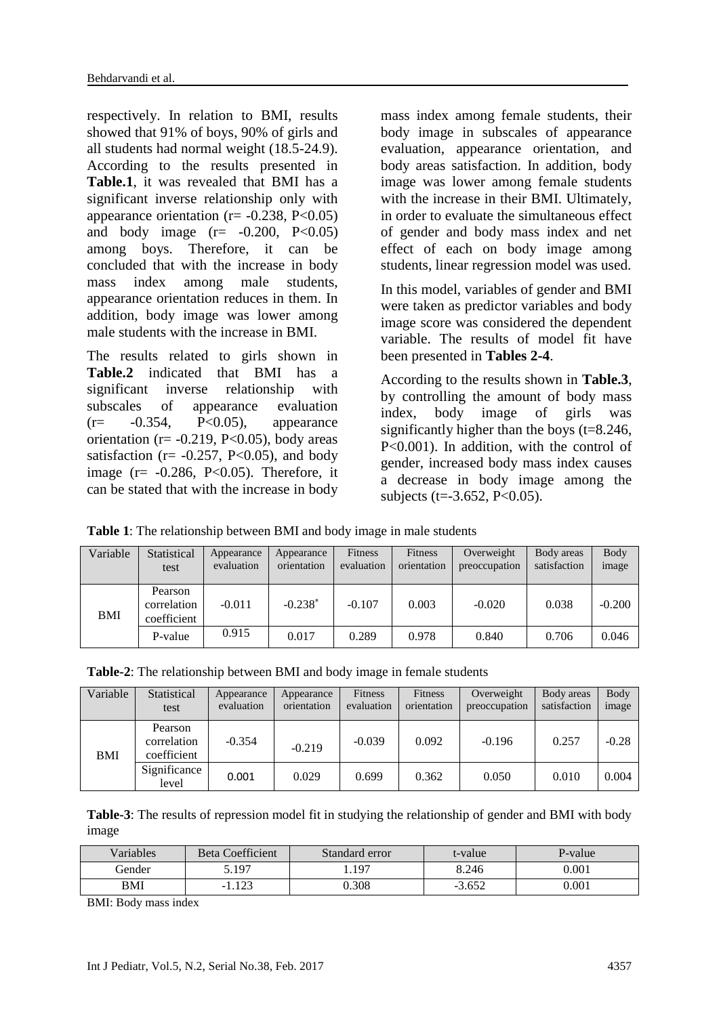respectively. In relation to BMI, results showed that 91% of boys, 90% of girls and all students had normal weight (18.5-24.9). According to the results presented in **Table.1**, it was revealed that BMI has a significant inverse relationship only with appearance orientation ( $r = -0.238$ ,  $P < 0.05$ ) and body image  $(r = -0.200, P < 0.05)$ among boys. Therefore, it can be concluded that with the increase in body mass index among male students, appearance orientation reduces in them. In addition, body image was lower among male students with the increase in BMI.

The results related to girls shown in **Table.2** indicated that BMI has a significant inverse relationship with subscales of appearance evaluation  $(r=-0.354, P<0.05),$  appearance orientation ( $r = -0.219$ , P<0.05), body areas satisfaction ( $r = -0.257$ , P<0.05), and body image ( $r = -0.286$ ,  $P < 0.05$ ). Therefore, it can be stated that with the increase in body

mass index among female students, their body image in subscales of appearance evaluation, appearance orientation, and body areas satisfaction. In addition, body image was lower among female students with the increase in their BMI. Ultimately, in order to evaluate the simultaneous effect of gender and body mass index and net effect of each on body image among students, linear regression model was used.

In this model, variables of gender and BMI were taken as predictor variables and body image score was considered the dependent variable. The results of model fit have been presented in **Tables 2-4**.

According to the results shown in **Table.3**, by controlling the amount of body mass index, body image of girls was significantly higher than the boys  $(t=8.246)$ . P<0.001). In addition, with the control of gender, increased body mass index causes a decrease in body image among the subjects (t= $-3.652$ , P<0.05).

**Table 1**: The relationship between BMI and body image in male students

| Variable | Statistical<br>test                   | Appearance<br>evaluation | Appearance<br>orientation | <b>Fitness</b><br>evaluation | <b>Fitness</b><br>orientation | Overweight<br>preoccupation | Body areas<br>satisfaction | <b>Body</b><br>image |
|----------|---------------------------------------|--------------------------|---------------------------|------------------------------|-------------------------------|-----------------------------|----------------------------|----------------------|
| BMI      | Pearson<br>correlation<br>coefficient | $-0.011$                 | $-0.238*$                 | $-0.107$                     | 0.003                         | $-0.020$                    | 0.038                      | $-0.200$             |
|          | P-value                               | 0.915                    | 0.017                     | 0.289                        | 0.978                         | 0.840                       | 0.706                      | 0.046                |

| Table-2: The relationship between BMI and body image in female students |  |  |
|-------------------------------------------------------------------------|--|--|
|                                                                         |  |  |

| Variable | Statistical<br>test                   | Appearance<br>evaluation | Appearance<br>orientation | <b>Fitness</b><br>evaluation | <b>Fitness</b><br>orientation | Overweight<br>preoccupation | Body areas<br>satisfaction | <b>Body</b><br>image |
|----------|---------------------------------------|--------------------------|---------------------------|------------------------------|-------------------------------|-----------------------------|----------------------------|----------------------|
| BMI      | Pearson<br>correlation<br>coefficient | $-0.354$                 | $-0.219$                  | $-0.039$                     | 0.092                         | $-0.196$                    | 0.257                      | $-0.28$              |
|          | Significance<br>level                 | 0.001                    | 0.029                     | 0.699                        | 0.362                         | 0.050                       | 0.010                      | 0.004                |

**Table-3**: The results of repression model fit in studying the relationship of gender and BMI with body image

| Variables | <b>Beta Coefficient</b> | Standard error | t-value  | P-value |
|-----------|-------------------------|----------------|----------|---------|
| Gender    | 5.197                   | 1.197          | 8.246    | 0.001   |
| BMI       | .123<br>- 1             | 0.308          | $-3.652$ | 0.001   |

BMI: Body mass index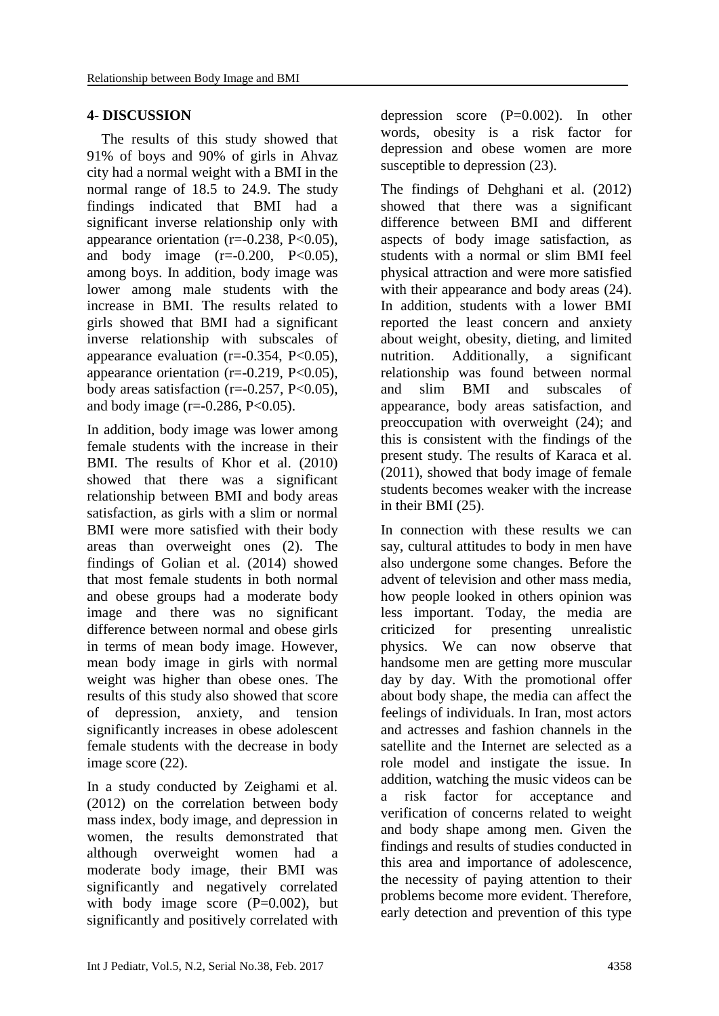### **4- DISCUSSION**

 The results of this study showed that 91% of boys and 90% of girls in Ahvaz city had a normal weight with a BMI in the normal range of 18.5 to 24.9. The study findings indicated that BMI had a significant inverse relationship only with appearance orientation ( $r = -0.238$ ,  $P < 0.05$ ), and body image  $(r=-0.200, P<0.05)$ , among boys. In addition, body image was lower among male students with the increase in BMI. The results related to girls showed that BMI had a significant inverse relationship with subscales of appearance evaluation ( $r=-0.354$ ,  $P<0.05$ ), appearance orientation  $(r=-0.219, P<0.05)$ , body areas satisfaction (r= $-0.257$ , P< $0.05$ ), and body image ( $r = -0.286$ ,  $P < 0.05$ ).

In addition, body image was lower among female students with the increase in their BMI. The results of Khor et al. (2010) showed that there was a significant relationship between BMI and body areas satisfaction, as girls with a slim or normal BMI were more satisfied with their body areas than overweight ones (2). The findings of Golian et al. (2014) showed that most female students in both normal and obese groups had a moderate body image and there was no significant difference between normal and obese girls in terms of mean body image. However, mean body image in girls with normal weight was higher than obese ones. The results of this study also showed that score of depression, anxiety, and tension significantly increases in obese adolescent female students with the decrease in body image score (22).

In a study conducted by Zeighami et al. (2012) on the correlation between body mass index, body image, and depression in women, the results demonstrated that although overweight women had a moderate body image, their BMI was significantly and negatively correlated with body image score  $(P=0.002)$ , but significantly and positively correlated with depression score (P=0.002). In other words, obesity is a risk factor for depression and obese women are more susceptible to depression  $(23)$ .

The findings of Dehghani et al. (2012) showed that there was a significant difference between BMI and different aspects of body image satisfaction, as students with a normal or slim BMI feel physical attraction and were more satisfied with their appearance and body areas  $(24)$ . In addition, students with a lower BMI reported the least concern and anxiety about weight, obesity, dieting, and limited nutrition. Additionally, a significant relationship was found between normal and slim BMI and subscales of appearance, body areas satisfaction, and preoccupation with overweight (24); and this is consistent with the findings of the present study. The results of Karaca et al. (2011), showed that body image of female students becomes weaker with the increase in their BMI (25).

In connection with these results we can say, cultural attitudes to body in men have also undergone some changes. Before the advent of television and other mass media, how people looked in others opinion was less important. Today, the media are criticized for presenting unrealistic physics. We can now observe that handsome men are getting more muscular day by day. With the promotional offer about body shape, the media can affect the feelings of individuals. In Iran, most actors and actresses and fashion channels in the satellite and the Internet are selected as a role model and instigate the issue. In addition, watching the music videos can be a risk factor for acceptance and verification of concerns related to weight and body shape among men. Given the findings and results of studies conducted in this area and importance of adolescence, the necessity of paying attention to their problems become more evident. Therefore, early detection and prevention of this type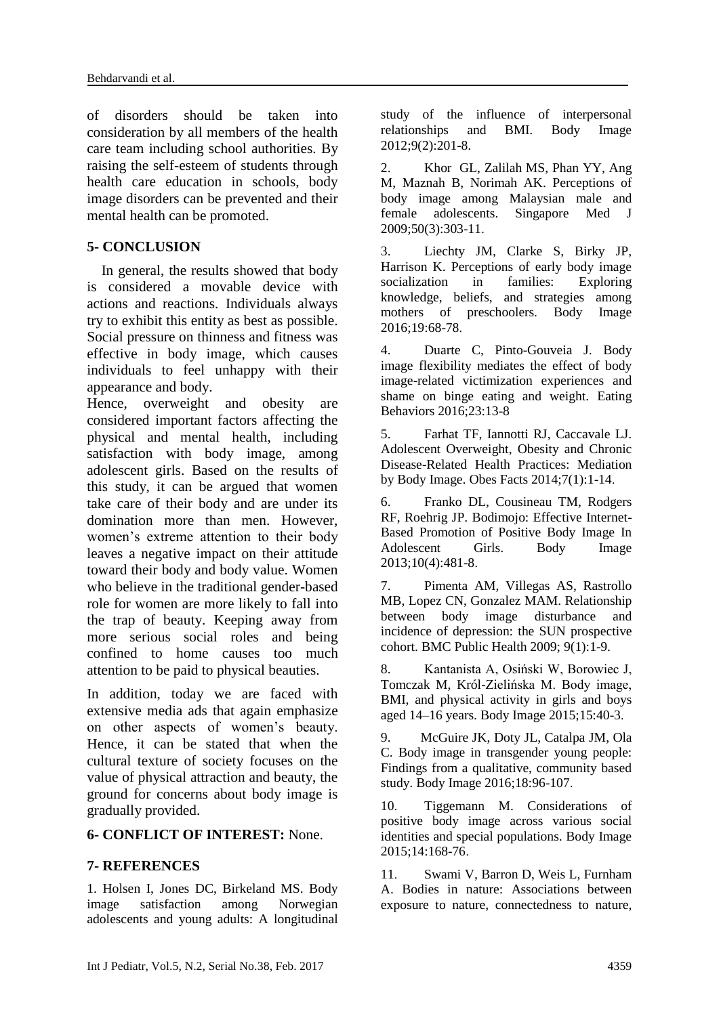of disorders should be taken into consideration by all members of the health care team including school authorities. By raising the self-esteem of students through health care education in schools, body image disorders can be prevented and their mental health can be promoted.

### **5- CONCLUSION**

 In general, the results showed that body is considered a movable device with actions and reactions. Individuals always try to exhibit this entity as best as possible. Social pressure on thinness and fitness was effective in body image, which causes individuals to feel unhappy with their appearance and body.

Hence, overweight and obesity are considered important factors affecting the physical and mental health, including satisfaction with body image, among adolescent girls. Based on the results of this study, it can be argued that women take care of their body and are under its domination more than men. However, women's extreme attention to their body leaves a negative impact on their attitude toward their body and body value. Women who believe in the traditional gender-based role for women are more likely to fall into the trap of beauty. Keeping away from more serious social roles and being confined to home causes too much attention to be paid to physical beauties.

In addition, today we are faced with extensive media ads that again emphasize on other aspects of women's beauty. Hence, it can be stated that when the cultural texture of society focuses on the value of physical attraction and beauty, the ground for concerns about body image is gradually provided.

### **6- CONFLICT OF INTEREST:** None.

### **7- REFERENCES**

1. Holsen I, Jones DC, Birkeland MS. Body image satisfaction among Norwegian adolescents and young adults: A longitudinal study of the influence of interpersonal relationships and BMI. Body Image 2012;9(2):201-8.

2. Khor GL, Zalilah MS, Phan YY, Ang M, Maznah B, Norimah AK. Perceptions of body image among Malaysian male and female adolescents. Singapore Med J 2009;50(3):303-11.

3. Liechty JM, Clarke S, Birky JP, Harrison K. Perceptions of early body image socialization in families: Exploring knowledge, beliefs, and strategies among mothers of preschoolers. Body Image 2016;19:68-78.

4. Duarte C, Pinto-Gouveia J. Body image flexibility mediates the effect of body image-related victimization experiences and shame on binge eating and weight. Eating Behaviors 2016;23:13-8

5. Farhat TF, Iannotti RJ, Caccavale LJ. Adolescent Overweight, Obesity and Chronic Disease-Related Health Practices: Mediation by Body Image. Obes Facts 2014;7(1):1-14.

6. Franko DL, Cousineau TM, Rodgers RF, Roehrig JP. Bodimojo: Effective Internet-Based Promotion of Positive Body Image In Adolescent Girls. Body Image 2013;10(4):481-8.

7. Pimenta AM, Villegas AS, Rastrollo MB, Lopez CN, Gonzalez MAM. Relationship between body image disturbance and incidence of depression: the SUN prospective cohort. BMC Public Health 2009; 9(1):1-9.

8. Kantanista A, Osiński W, Borowiec J, Tomczak M, Król-Zielińska M. Body image, BMI, and physical activity in girls and boys aged 14–16 years. Body Image 2015;15:40-3.

9. McGuire JK, Doty JL, Catalpa JM, Ola C. Body image in transgender young people: Findings from a qualitative, community based study. Body Image 2016;18:96-107.

10. Tiggemann M. Considerations of positive body image across various social identities and special populations. Body Image 2015;14:168-76.

11. Swami V, Barron D, Weis L, Furnham A. Bodies in nature: Associations between exposure to nature, connectedness to nature,